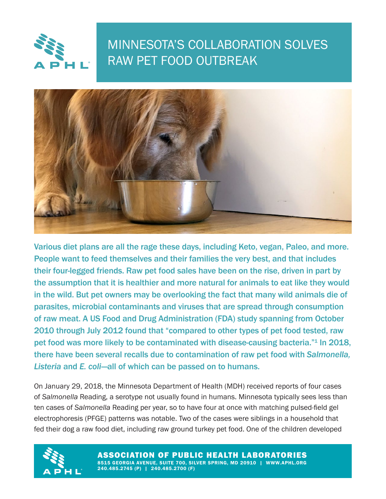

®

## MINNESOTA'S COLLABORATION SOLVES RAW PET FOOD OUTBREAK



Various diet plans are all the rage these days, including Keto, vegan, Paleo, and more. People want to feed themselves and their families the very best, and that includes their four-legged friends. Raw pet food sales have been on the rise, driven in part by the assumption that it is healthier and more natural for animals to eat like they would in the wild. But pet owners may be overlooking the fact that many wild animals die of parasites, microbial contaminants and viruses that are spread through consumption of raw meat. A US Food and Drug Administration (FDA) study spanning from October 2010 through July 2012 found that "compared to other types of pet food tested, raw pet food was more likely to be contaminated with disease-causing bacteria."<sup>1</sup> In 2018, there have been several recalls due to contamination of raw pet food with *Salmonella, Listeria* and *E. coli*—all of which can be passed on to humans.

On January 29, 2018, the Minnesota Department of Health (MDH) received reports of four cases of *Salmonella* Reading, a serotype not usually found in humans. Minnesota typically sees less than ten cases of *Salmonella* Reading per year, so to have four at once with matching pulsed-field gel electrophoresis (PFGE) patterns was notable. Two of the cases were siblings in a household that fed their dog a raw food diet, including raw ground turkey pet food. One of the children developed



ASSOCIATION OF PUBLIC HEALTH LABORATORIES 8515 GEORGIA AVENUE, SUITE 700, SILVER SPRING, MD 20910 | WWW.APHL.ORG 240.485.2745 (P) | 240.485.2700 (F)